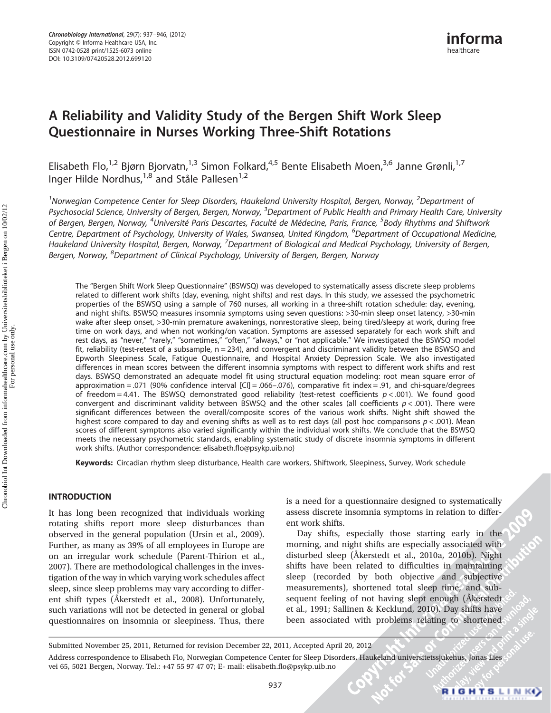# A Reliability and Validity Study of the Bergen Shift Work Sleep Questionnaire in Nurses Working Three-Shift Rotations

Elisabeth Flo,<sup>1,2</sup> Bjørn Bjorvatn,<sup>1,3</sup> Simon Folkard,<sup>4,5</sup> Bente Elisabeth Moen,<sup>3,6</sup> Janne Grønli,<sup>1,7</sup> Inger Hilde Nordhus,<sup>1,8</sup> and Ståle Pallesen<sup>1,2</sup>

<sup>1</sup>Norwegian Competence Center for Sleep Disorders, Haukeland University Hospital, Bergen, Norway, <sup>2</sup>Department of Psychosocial Science, University of Bergen, Bergen, Norway, <sup>3</sup>Department of Public Health and Primary Health Care, University of Bergen, Bergen, Norway, <sup>4</sup>Université Paris Descartes, Faculté de Médecine, Paris, France, <sup>5</sup>Body Rhythms and Shiftwork Centre, Department of Psychology, University of Wales, Swansea, United Kingdom, <sup>6</sup>Department of Occupational Medicine, Haukeland University Hospital, Bergen, Norway, <sup>7</sup>Department of Biological and Medical Psychology, University of Bergen, Bergen, Norway, <sup>8</sup>Department of Clinical Psychology, University of Bergen, Bergen, Norway

The "Bergen Shift Work Sleep Questionnaire" (BSWSQ) was developed to systematically assess discrete sleep problems related to different work shifts (day, evening, night shifts) and rest days. In this study, we assessed the psychometric properties of the BSWSQ using a sample of 760 nurses, all working in a three-shift rotation schedule: day, evening, and night shifts. BSWSQ measures insomnia symptoms using seven questions: >30-min sleep onset latency, >30-min wake after sleep onset, >30-min premature awakenings, nonrestorative sleep, being tired/sleepy at work, during free time on work days, and when not working/on vacation. Symptoms are assessed separately for each work shift and rest days, as "never," "rarely," "sometimes," "often," "always," or "not applicable." We investigated the BSWSQ model fit, reliability (test-retest of a subsample,  $n = 234$ ), and convergent and discriminant validity between the BSWSQ and Epworth Sleepiness Scale, Fatigue Questionnaire, and Hospital Anxiety Depression Scale. We also investigated differences in mean scores between the different insomnia symptoms with respect to different work shifts and rest days. BSWSQ demonstrated an adequate model fit using structural equation modeling: root mean square error of approximation = .071 (90% confidence interval [CI] = .066–.076), comparative fit index = .91, and chi-square/degrees of freedom = 4.41. The BSWSQ demonstrated good reliability (test-retest coefficients  $p < .001$ ). We found good convergent and discriminant validity between BSWSQ and the other scales (all coefficients  $p < .001$ ). There were significant differences between the overall/composite scores of the various work shifts. Night shift showed the highest score compared to day and evening shifts as well as to rest days (all post hoc comparisons  $p < .001$ ). Mean scores of different symptoms also varied significantly within the individual work shifts. We conclude that the BSWSQ meets the necessary psychometric standards, enabling systematic study of discrete insomnia symptoms in different work shifts. (Author correspondence: elisabeth.flo@psykp.uib.no)

Keywords: Circadian rhythm sleep disturbance, Health care workers, Shiftwork, Sleepiness, Survey, Work schedule

# INTRODUCTION

It has long been recognized that individuals working rotating shifts report more sleep disturbances than observed in the general population (Ursin et al., 2009). Further, as many as 39% of all employees in Europe are on an irregular work schedule (Parent-Thirion et al., 2007). There are methodological challenges in the investigation of the way in which varying work schedules affect sleep, since sleep problems may vary according to different shift types (Åkerstedt et al., 2008). Unfortunately, such variations will not be detected in general or global questionnaires on insomnia or sleepiness. Thus, there is a need for a questionnaire designed to systematically assess discrete insomnia symptoms in relation to different work shifts.

Day shifts, especially those starting early in the morning, and night shifts are especially associated with disturbed sleep (Åkerstedt et al., 2010a, 2010b). Night shifts have been related to difficulties in maintaining sleep (recorded by both objective and subjective measurements), shortened total sleep time, and subsequent feeling of not having slept enough (Åkerstedt et al., 1991; Sallinen & Kecklund, 2010). Day shifts have been associated with problems relating to shortened

RIGHTS LINK()

Address correspondence to Elisabeth Flo, Norwegian Competence Center for Sleep Disorders, Haukeland universitetssjukehus, Jonas Lies vei 65, 5021 Bergen, Norway. Tel.: +47 55 97 47 07; E- mail: elisabeth.flo@psykp.uib.no Submitted November 25, 2011, Returned for revision December 22, 2011, Accepted April 20, 2012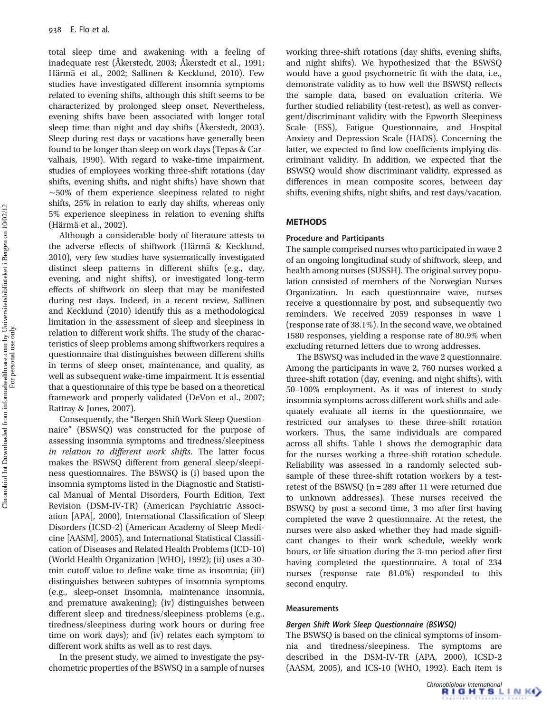total sleep time and awakening with a feeling of inadequate rest (Åkerstedt, 2003; Åkerstedt et al., 1991; Härmä et al., 2002; Sallinen & Kecklund, 2010). Few studies have investigated different insomnia symptoms related to evening shifts, although this shift seems to be characterized by prolonged sleep onset. Nevertheless, evening shifts have been associated with longer total sleep time than night and day shifts (Åkerstedt, 2003). Sleep during rest days or vacations have generally been found to be longer than sleep on work days (Tepas & Carvalhais, 1990). With regard to wake-time impairment, studies of employees working three-shift rotations (day shifts, evening shifts, and night shifts) have shown that ∼50% of them experience sleepiness related to night shifts, 25% in relation to early day shifts, whereas only 5% experience sleepiness in relation to evening shifts (Härmä et al., 2002).

Although a considerable body of literature attests to the adverse effects of shiftwork (Härmä & Kecklund, 2010), very few studies have systematically investigated distinct sleep patterns in different shifts (e.g., day, evening, and night shifts), or investigated long-term effects of shiftwork on sleep that may be manifested during rest days. Indeed, in a recent review, Sallinen and Kecklund (2010) identify this as a methodological limitation in the assessment of sleep and sleepiness in relation to different work shifts. The study of the characteristics of sleep problems among shiftworkers requires a questionnaire that distinguishes between different shifts in terms of sleep onset, maintenance, and quality, as well as subsequent wake-time impairment. It is essential that a questionnaire of this type be based on a theoretical framework and properly validated (DeVon et al., 2007; Rattray & Jones, 2007).

Consequently, the "Bergen Shift Work Sleep Questionnaire" (BSWSQ) was constructed for the purpose of assessing insomnia symptoms and tiredness/sleepiness in relation to different work shifts. The latter focus makes the BSWSQ different from general sleep/sleepiness questionnaires. The BSWSQ is (i) based upon the insomnia symptoms listed in the Diagnostic and Statistical Manual of Mental Disorders, Fourth Edition, Text Revision (DSM-IV-TR) (American Psychiatric Association [APA], 2000), International Classification of Sleep Disorders (ICSD-2) (American Academy of Sleep Medicine [AASM], 2005), and International Statistical Classification of Diseases and Related Health Problems (ICD-10) (World Health Organization [WHO], 1992); (ii) uses a 30 min cutoff value to define wake time as insomnia; (iii) distinguishes between subtypes of insomnia symptoms (e.g., sleep-onset insomnia, maintenance insomnia, and premature awakening); (iv) distinguishes between different sleep and tiredness/sleepiness problems (e.g., tiredness/sleepiness during work hours or during free time on work days); and (iv) relates each symptom to different work shifts as well as to rest days.

In the present study, we aimed to investigate the psychometric properties of the BSWSQ in a sample of nurses working three-shift rotations (day shifts, evening shifts, and night shifts). We hypothesized that the BSWSQ would have a good psychometric fit with the data, i.e., demonstrate validity as to how well the BSWSQ reflects the sample data, based on evaluation criteria. We further studied reliability (test-retest), as well as convergent/discriminant validity with the Epworth Sleepiness Scale (ESS), Fatigue Questionnaire, and Hospital Anxiety and Depression Scale (HADS). Concerning the latter, we expected to find low coefficients implying discriminant validity. In addition, we expected that the BSWSQ would show discriminant validity, expressed as differences in mean composite scores, between day shifts, evening shifts, night shifts, and rest days/vacation.

# **METHODS**

#### Procedure and Participants

The sample comprised nurses who participated in wave 2 of an ongoing longitudinal study of shiftwork, sleep, and health among nurses (SUSSH). The original survey population consisted of members of the Norwegian Nurses Organization. In each questionnaire wave, nurses receive a questionnaire by post, and subsequently two reminders. We received 2059 responses in wave 1 (response rate of 38.1%). In the second wave, we obtained 1580 responses, yielding a response rate of 80.9% when excluding returned letters due to wrong addresses.

The BSWSQ was included in the wave 2 questionnaire. Among the participants in wave 2, 760 nurses worked a three-shift rotation (day, evening, and night shifts), with 50–100% employment. As it was of interest to study insomnia symptoms across different work shifts and adequately evaluate all items in the questionnaire, we restricted our analyses to these three-shift rotation workers. Thus, the same individuals are compared across all shifts. Table 1 shows the demographic data for the nurses working a three-shift rotation schedule. Reliability was assessed in a randomly selected subsample of these three-shift rotation workers by a testretest of the BSWSO  $(n = 289$  after 11 were returned due to unknown addresses). These nurses received the BSWSQ by post a second time, 3 mo after first having completed the wave 2 questionnaire. At the retest, the nurses were also asked whether they had made significant changes to their work schedule, weekly work hours, or life situation during the 3-mo period after first having completed the questionnaire. A total of 234 nurses (response rate 81.0%) responded to this second enquiry.

#### Measurements

#### Bergen Shift Work Sleep Questionnaire (BSWSQ)

The BSWSQ is based on the clinical symptoms of insomnia and tiredness/sleepiness. The symptoms are described in the DSM-IV-TR (APA, 2000), ICSD-2 (AASM, 2005), and ICS-10 (WHO, 1992). Each item is

Chronobiology International<br> **RIGHTSLINK4**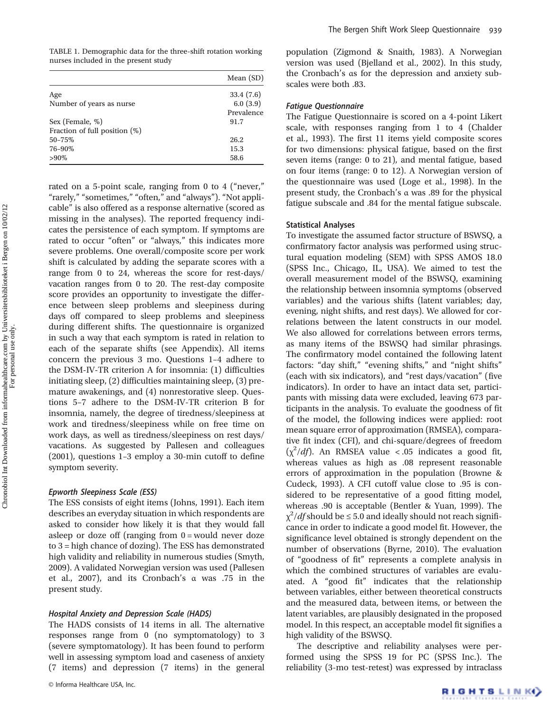TABLE 1. Demographic data for the three-shift rotation working nurses included in the present study

|                                  | Mean (SD)  |
|----------------------------------|------------|
| Age                              | 33.4(7.6)  |
| Number of years as nurse         | 6.0(3.9)   |
|                                  | Prevalence |
| Sex (Female, %)                  | 91.7       |
| Fraction of full position $(\%)$ |            |
| 50-75%                           | 26.2       |
| 76-90%                           | 15.3       |
| $>90\%$                          | 58.6       |

rated on a 5-point scale, ranging from 0 to 4 ("never," "rarely," "sometimes," "often," and "always"). "Not applicable" is also offered as a response alternative (scored as missing in the analyses). The reported frequency indicates the persistence of each symptom. If symptoms are rated to occur "often" or "always," this indicates more severe problems. One overall/composite score per work shift is calculated by adding the separate scores with a range from 0 to 24, whereas the score for rest-days/ vacation ranges from 0 to 20. The rest-day composite score provides an opportunity to investigate the difference between sleep problems and sleepiness during days off compared to sleep problems and sleepiness during different shifts. The questionnaire is organized in such a way that each symptom is rated in relation to each of the separate shifts (see Appendix). All items concern the previous 3 mo. Questions 1–4 adhere to the DSM-IV-TR criterion A for insomnia: (1) difficulties initiating sleep, (2) difficulties maintaining sleep, (3) premature awakenings, and (4) nonrestorative sleep. Questions 5–7 adhere to the DSM-IV-TR criterion B for insomnia, namely, the degree of tiredness/sleepiness at work and tiredness/sleepiness while on free time on work days, as well as tiredness/sleepiness on rest days/ vacations. As suggested by Pallesen and colleagues (2001), questions 1–3 employ a 30-min cutoff to define symptom severity.

#### Epworth Sleepiness Scale (ESS)

The ESS consists of eight items (Johns, 1991). Each item describes an everyday situation in which respondents are asked to consider how likely it is that they would fall asleep or doze off (ranging from  $0 =$  would never doze to 3 = high chance of dozing). The ESS has demonstrated high validity and reliability in numerous studies (Smyth, 2009). A validated Norwegian version was used (Pallesen et al., 2007), and its Cronbach's α was .75 in the present study.

# Hospital Anxiety and Depression Scale (HADS)

The HADS consists of 14 items in all. The alternative responses range from 0 (no symptomatology) to 3 (severe symptomatology). It has been found to perform well in assessing symptom load and caseness of anxiety (7 items) and depression (7 items) in the general population (Zigmond & Snaith, 1983). A Norwegian version was used (Bjelland et al., 2002). In this study, the Cronbach's αs for the depression and anxiety subscales were both .83.

### Fatigue Questionnaire

The Fatigue Questionnaire is scored on a 4-point Likert scale, with responses ranging from 1 to 4 (Chalder et al., 1993). The first 11 items yield composite scores for two dimensions: physical fatigue, based on the first seven items (range: 0 to 21), and mental fatigue, based on four items (range: 0 to 12). A Norwegian version of the questionnaire was used (Loge et al., 1998). In the present study, the Cronbach's α was .89 for the physical fatigue subscale and .84 for the mental fatigue subscale.

#### Statistical Analyses

To investigate the assumed factor structure of BSWSQ, a confirmatory factor analysis was performed using structural equation modeling (SEM) with SPSS AMOS 18.0 (SPSS Inc., Chicago, IL, USA). We aimed to test the overall measurement model of the BSWSQ, examining the relationship between insomnia symptoms (observed variables) and the various shifts (latent variables; day, evening, night shifts, and rest days). We allowed for correlations between the latent constructs in our model. We also allowed for correlations between errors terms, as many items of the BSWSQ had similar phrasings. The confirmatory model contained the following latent factors: "day shift," "evening shifts," and "night shifts" (each with six indicators), and "rest days/vacation" (five indicators). In order to have an intact data set, participants with missing data were excluded, leaving 673 participants in the analysis. To evaluate the goodness of fit of the model, the following indices were applied: root mean square error of approximation (RMSEA), comparative fit index (CFI), and chi-square/degrees of freedom  $(\chi^2/df)$ . An RMSEA value < .05 indicates a good fit, whereas values as high as .08 represent reasonable errors of approximation in the population (Browne & Cudeck, 1993). A CFI cutoff value close to .95 is considered to be representative of a good fitting model, whereas .90 is acceptable (Bentler & Yuan, 1999). The  $\chi^2/df$  should be  $\leq 5.0$  and ideally should not reach significance in order to indicate a good model fit. However, the significance level obtained is strongly dependent on the number of observations (Byrne, 2010). The evaluation of "goodness of fit" represents a complete analysis in which the combined structures of variables are evaluated. A "good fit" indicates that the relationship between variables, either between theoretical constructs and the measured data, between items, or between the latent variables, are plausibly designated in the proposed model. In this respect, an acceptable model fit signifies a high validity of the BSWSQ.

The descriptive and reliability analyses were performed using the SPSS 19 for PC (SPSS Inc.). The reliability (3-mo test-retest) was expressed by intraclass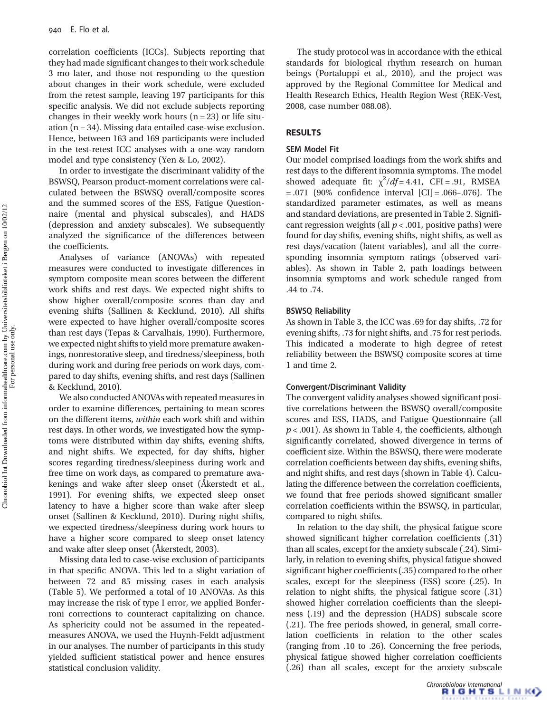correlation coefficients (ICCs). Subjects reporting that they had made significant changes to their work schedule 3 mo later, and those not responding to the question about changes in their work schedule, were excluded from the retest sample, leaving 197 participants for this specific analysis. We did not exclude subjects reporting changes in their weekly work hours  $(n = 23)$  or life situation  $(n = 34)$ . Missing data entailed case-wise exclusion. Hence, between 163 and 169 participants were included in the test-retest ICC analyses with a one-way random model and type consistency (Yen & Lo, 2002).

In order to investigate the discriminant validity of the BSWSQ, Pearson product-moment correlations were calculated between the BSWSQ overall/composite scores and the summed scores of the ESS, Fatigue Questionnaire (mental and physical subscales), and HADS (depression and anxiety subscales). We subsequently analyzed the significance of the differences between the coefficients.

Analyses of variance (ANOVAs) with repeated measures were conducted to investigate differences in symptom composite mean scores between the different work shifts and rest days. We expected night shifts to show higher overall/composite scores than day and evening shifts (Sallinen & Kecklund, 2010). All shifts were expected to have higher overall/composite scores than rest days (Tepas & Carvalhais, 1990). Furthermore, we expected night shifts to yield more premature awakenings, nonrestorative sleep, and tiredness/sleepiness, both during work and during free periods on work days, compared to day shifts, evening shifts, and rest days (Sallinen & Kecklund, 2010).

We also conducted ANOVAs with repeated measures in order to examine differences, pertaining to mean scores on the different items, within each work shift and within rest days. In other words, we investigated how the symptoms were distributed within day shifts, evening shifts, and night shifts. We expected, for day shifts, higher scores regarding tiredness/sleepiness during work and free time on work days, as compared to premature awakenings and wake after sleep onset (Åkerstedt et al., 1991). For evening shifts, we expected sleep onset latency to have a higher score than wake after sleep onset (Sallinen & Kecklund, 2010). During night shifts, we expected tiredness/sleepiness during work hours to have a higher score compared to sleep onset latency and wake after sleep onset (Åkerstedt, 2003).

Missing data led to case-wise exclusion of participants in that specific ANOVA. This led to a slight variation of between 72 and 85 missing cases in each analysis (Table 5). We performed a total of 10 ANOVAs. As this may increase the risk of type I error, we applied Bonferroni corrections to counteract capitalizing on chance. As sphericity could not be assumed in the repeatedmeasures ANOVA, we used the Huynh-Feldt adjustment in our analyses. The number of participants in this study yielded sufficient statistical power and hence ensures statistical conclusion validity.

The study protocol was in accordance with the ethical standards for biological rhythm research on human beings (Portaluppi et al., 2010), and the project was approved by the Regional Committee for Medical and Health Research Ethics, Health Region West (REK-Vest, 2008, case number 088.08).

# RESULTS

#### SEM Model Fit

Our model comprised loadings from the work shifts and rest days to the different insomnia symptoms. The model showed adequate fit:  $\chi^2/df = 4.41$ , CFI = .91, RMSEA  $= .071$  (90% confidence interval [CI]  $= .066-.076$ ). The standardized parameter estimates, as well as means and standard deviations, are presented in Table 2. Significant regression weights (all  $p < .001$ , positive paths) were found for day shifts, evening shifts, night shifts, as well as rest days/vacation (latent variables), and all the corresponding insomnia symptom ratings (observed variables). As shown in Table 2, path loadings between insomnia symptoms and work schedule ranged from .44 to .74.

### BSWSQ Reliability

As shown in Table 3, the ICC was .69 for day shifts, .72 for evening shifts, .73 for night shifts, and .75 for rest periods. This indicated a moderate to high degree of retest reliability between the BSWSQ composite scores at time 1 and time 2.

#### Convergent/Discriminant Validity

The convergent validity analyses showed significant positive correlations between the BSWSQ overall/composite scores and ESS, HADS, and Fatigue Questionnaire (all  $p < .001$ ). As shown in Table 4, the coefficients, although significantly correlated, showed divergence in terms of coefficient size. Within the BSWSQ, there were moderate correlation coefficients between day shifts, evening shifts, and night shifts, and rest days (shown in Table 4). Calculating the difference between the correlation coefficients, we found that free periods showed significant smaller correlation coefficients within the BSWSQ, in particular, compared to night shifts.

In relation to the day shift, the physical fatigue score showed significant higher correlation coefficients (.31) than all scales, except for the anxiety subscale (.24). Similarly, in relation to evening shifts, physical fatigue showed significant higher coefficients (.35) compared to the other scales, except for the sleepiness (ESS) score (.25). In relation to night shifts, the physical fatigue score (.31) showed higher correlation coefficients than the sleepiness (.19) and the depression (HADS) subscale score (.21). The free periods showed, in general, small correlation coefficients in relation to the other scales (ranging from .10 to .26). Concerning the free periods, physical fatigue showed higher correlation coefficients (.26) than all scales, except for the anxiety subscale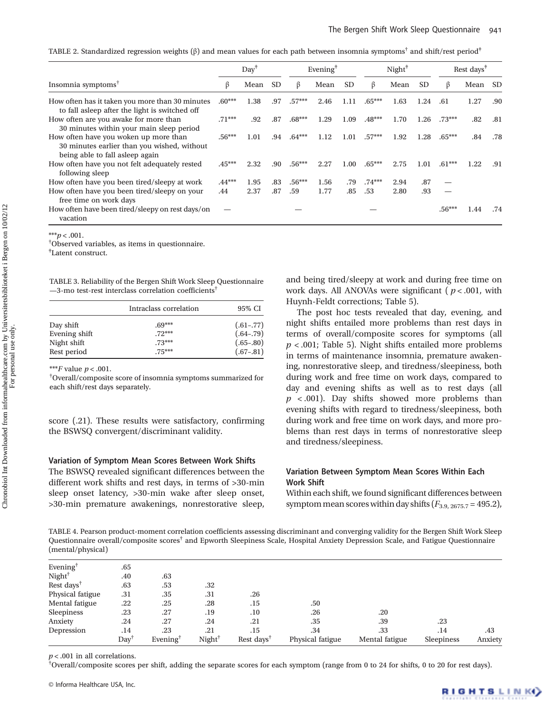TABLE 2. Standardized regression weights ( $\beta$ ) and mean values for each path between insomnia symptoms<sup>†</sup> and shift/rest period<sup>‡</sup>

| Insomnia symptoms <sup>†</sup>                                                                                          |          | $\text{Dav}^*$ |           |          | Evening <sup><math>*</math></sup> |           |          | $Night^*$ |           |          | Rest days <sup>*</sup> |           |
|-------------------------------------------------------------------------------------------------------------------------|----------|----------------|-----------|----------|-----------------------------------|-----------|----------|-----------|-----------|----------|------------------------|-----------|
|                                                                                                                         |          | Mean           | <b>SD</b> | β        | Mean                              | <b>SD</b> | β        | Mean      | <b>SD</b> | β        | Mean                   | <b>SD</b> |
| How often has it taken you more than 30 minutes<br>to fall as leep after the light is switched off                      | $.60***$ | 1.38           | .97       | $.57***$ | 2.46                              | 1.11      | $.65***$ | 1.63      | 1.24      | .61      | 1.27                   | .90       |
| How often are you awake for more than<br>30 minutes within your main sleep period                                       | $.71***$ | .92            | .87       | $.68***$ | 1.29                              | 1.09      | $.48***$ | 1.70      | 1.26      | $.73***$ | .82                    | .81       |
| How often have you woken up more than<br>30 minutes earlier than you wished, without<br>being able to fall asleep again | $.56***$ | 1.01           | .94       | $.64***$ | 1.12                              | 1.01      | $.57***$ | 1.92      | 1.28      | $.65***$ | .84                    | .78       |
| How often have you not felt adequately rested<br>following sleep                                                        | $.45***$ | 2.32           | .90       | $.56***$ | 2.27                              | 1.00      | $.65***$ | 2.75      | 1.01      | $.61***$ | 1.22                   | .91       |
| How often have you been tired/sleepy at work                                                                            | $.44***$ | 1.95           | .83       | $.56***$ | 1.56                              | .79       | $.74***$ | 2.94      | .87       |          |                        |           |
| How often have you been tired/sleepy on your<br>free time on work days                                                  | .44      | 2.37           | .87       | .59      | 1.77                              | .85       | .53      | 2.80      | .93       |          |                        |           |
| How often have been tired/sleepy on rest days/on<br>vacation                                                            |          |                |           |          |                                   |           |          |           |           | $.56***$ | 1.44                   | .74       |

\*\*\* $p < .001$ .

† Observed variables, as items in questionnaire.

‡ Latent construct.

TABLE 3. Reliability of the Bergen Shift Work Sleep Questionnaire —3-mo test-rest interclass correlation coefficients†

|               | Intraclass correlation | 95% CI      |
|---------------|------------------------|-------------|
| Day shift     | $.69***$               | $(.61-.77)$ |
| Evening shift | $.72***$               | $(.64-.79)$ |
| Night shift   | $.73***$               | $(.65-.80)$ |
| Rest period   | $.75***$               | $(.67-.81)$ |

\*\*\**F* value  $p < .001$ .

† Overall/composite score of insomnia symptoms summarized for each shift/rest days separately.

score (.21). These results were satisfactory, confirming the BSWSQ convergent/discriminant validity.

#### Variation of Symptom Mean Scores Between Work Shifts

The BSWSQ revealed significant differences between the different work shifts and rest days, in terms of >30-min sleep onset latency, >30-min wake after sleep onset, >30-min premature awakenings, nonrestorative sleep,

and being tired/sleepy at work and during free time on work days. All ANOVAs were significant ( $p < .001$ , with Huynh-Feldt corrections; Table 5).

The post hoc tests revealed that day, evening, and night shifts entailed more problems than rest days in terms of overall/composite scores for symptoms (all  $p < .001$ ; Table 5). Night shifts entailed more problems in terms of maintenance insomnia, premature awakening, nonrestorative sleep, and tiredness/sleepiness, both during work and free time on work days, compared to day and evening shifts as well as to rest days (all  $p \sim 0.001$ ). Day shifts showed more problems than evening shifts with regard to tiredness/sleepiness, both during work and free time on work days, and more problems than rest days in terms of nonrestorative sleep and tiredness/sleepiness.

# Variation Between Symptom Mean Scores Within Each Work Shift

Within each shift, we found significant differences between symptom mean scores within day shifts  $(F_{3.9, 2675.7} = 495.2)$ ,

TABLE 4. Pearson product-moment correlation coefficients assessing discriminant and converging validity for the Bergen Shift Work Sleep Questionnaire overall/composite scores† and Epworth Sleepiness Scale, Hospital Anxiety Depression Scale, and Fatigue Questionnaire (mental/physical)

| Evening <sup>†</sup>                | .65                    |                                          |                   |                        |                  |                |            |         |
|-------------------------------------|------------------------|------------------------------------------|-------------------|------------------------|------------------|----------------|------------|---------|
| $Night^{\dagger}$                   | .40                    | .63                                      |                   |                        |                  |                |            |         |
| Rest days <sup><math>†</math></sup> | .63                    | .53                                      | .32               |                        |                  |                |            |         |
| Physical fatigue                    | .31                    | .35                                      | .31               | .26                    |                  |                |            |         |
| Mental fatigue                      | .22                    | .25                                      | .28               | .15                    | .50              |                |            |         |
| Sleepiness                          | .23                    | .27                                      | .19               | .10                    | .26              | .20            |            |         |
| Anxiety                             | .24                    | .27                                      | .24               | .21                    | .35              | .39            | .23        |         |
| Depression                          | .14                    | .23                                      | .21               | .15                    | .34              | .33            | .14        | .43     |
|                                     | $\text{Dav}^{\dagger}$ | Evening <sup><math>\uparrow</math></sup> | $Night^{\dagger}$ | Rest days <sup>†</sup> | Physical fatigue | Mental fatigue | Sleepiness | Anxiety |

 $p < .001$  in all correlations.

.<br>†Overall/composite scores per shift, adding the separate scores for each symptom (range from 0 to 24 for shifts, 0 to 20 for rest days).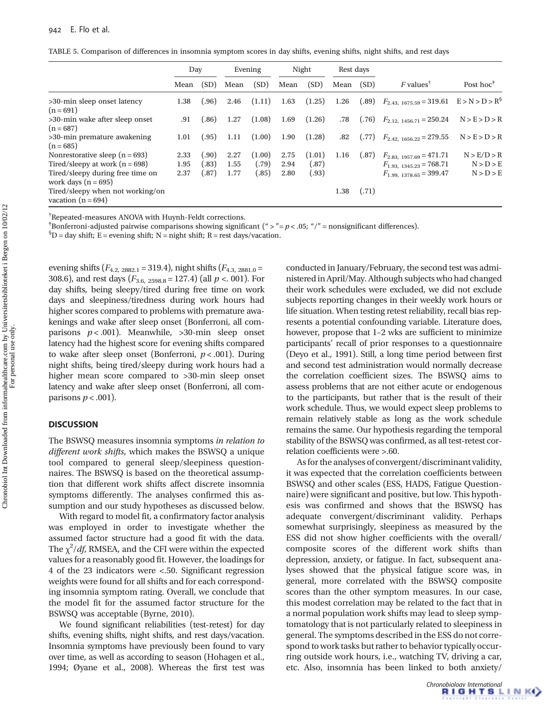TABLE 5. Comparison of differences in insomnia symptom scores in day shifts, evening shifts, night shifts, and rest days

|                                                           | Day  |       |      | Evening |      | Night  |      | Rest days |                                                |                       |
|-----------------------------------------------------------|------|-------|------|---------|------|--------|------|-----------|------------------------------------------------|-----------------------|
|                                                           | Mean | (SD)  | Mean | (SD)    | Mean | (SD)   | Mean | (SD)      | $F$ values <sup>†</sup>                        | Post hoc <sup>*</sup> |
| >30-min sleep onset latency<br>$(n = 691)$                | 1.38 | (.96) | 2.46 | (1.11)  | 1.63 | (1.25) | 1.26 | (.89)     | $F_{2,43, 1675.59} = 319.61$ $E > N > D > R^8$ |                       |
| >30-min wake after sleep onset<br>$(n = 687)$             | .91  | (.86) | 1.27 | (1.08)  | 1.69 | (1.26) | .78  | (.76)     | $F_{2,12,1456,71} = 250.24$                    | N > E > D > R         |
| >30-min premature awakening<br>$(n = 685)$                | 1.01 | (.95) | 1.11 | (1.00)  | 1.90 | (1.28) | .82  | (.77)     | $F_{2,42,1656,22} = 279.55$                    | N > E > D > R         |
| Nonrestorative sleep $(n = 693)$                          | 2.33 | (.90) | 2.27 | (1.00)  | 2.75 | (1.01) | 1.16 | (.87)     | $F_{2.83, 1957, 69} = 471.71$                  | N > E/D > R           |
| Tired/sleepy at work $(n = 698)$                          | 1.95 | (.83) | 1.55 | (.79)   | 2.94 | (.87)  |      |           | $F_{1.93, 1345, 23} = 768.71$                  | N > D > E             |
| Tired/sleepy during free time on<br>work days $(n = 695)$ | 2.37 | (.87) | 1.77 | (.85)   | 2.80 | (.93)  |      |           | $F_{1.99, 1378.65} = 399.47$                   | N > D > E             |
| Tired/sleepy when not working/on<br>vacation $(n = 694)$  |      |       |      |         |      |        | 1.38 | (.71)     |                                                |                       |

† Repeated-measures ANOVA with Huynh-Feldt corrections.

<sup>†</sup>Bonferroni-adjusted pairwise comparisons showing significant (" > "= p < .05; "/" = nonsignificant differences).

 ${}^{\$}D =$  day shift; E = evening shift; N = night shift; R = rest days/vacation.

evening shifts ( $F_{4.2, 2882.1}$  = 319.4), night shifts ( $F_{4.3, 2881.0}$  = 308.6), and rest days  $(F_{3.6, 2598.8} = 127.4)$  (all  $p < .001$ ). For day shifts, being sleepy/tired during free time on work days and sleepiness/tiredness during work hours had higher scores compared to problems with premature awakenings and wake after sleep onset (Bonferroni, all comparisons  $p < .001$ ). Meanwhile,  $>30$ -min sleep onset latency had the highest score for evening shifts compared to wake after sleep onset (Bonferroni,  $p < .001$ ). During night shifts, being tired/sleepy during work hours had a higher mean score compared to >30-min sleep onset latency and wake after sleep onset (Bonferroni, all comparisons  $p < .001$ ).

## **DISCUSSION**

The BSWSQ measures insomnia symptoms in relation to different work shifts, which makes the BSWSQ a unique tool compared to general sleep/sleepiness questionnaires. The BSWSQ is based on the theoretical assumption that different work shifts affect discrete insomnia symptoms differently. The analyses confirmed this assumption and our study hypotheses as discussed below.

With regard to model fit, a confirmatory factor analysis was employed in order to investigate whether the assumed factor structure had a good fit with the data. The  $\chi^2/df$ , RMSEA, and the CFI were within the expected values for a reasonably good fit. However, the loadings for 4 of the 23 indicators were <.50. Significant regression weights were found for all shifts and for each corresponding insomnia symptom rating. Overall, we conclude that the model fit for the assumed factor structure for the BSWSQ was acceptable (Byrne, 2010).

We found significant reliabilities (test-retest) for day shifts, evening shifts, night shifts, and rest days/vacation. Insomnia symptoms have previously been found to vary over time, as well as according to season (Hohagen et al., 1994; Øyane et al., 2008). Whereas the first test was

conducted in January/February, the second test was administered in April/May. Although subjects who had changed their work schedules were excluded, we did not exclude subjects reporting changes in their weekly work hours or life situation. When testing retest reliability, recall bias represents a potential confounding variable. Literature does, however, propose that 1–2 wks are sufficient to minimize participants' recall of prior responses to a questionnaire (Deyo et al., 1991). Still, a long time period between first and second test administration would normally decrease the correlation coefficient sizes. The BSWSQ aims to assess problems that are not either acute or endogenous to the participants, but rather that is the result of their work schedule. Thus, we would expect sleep problems to remain relatively stable as long as the work schedule remains the same. Our hypothesis regarding the temporal stability of the BSWSQ was confirmed, as all test-retest correlation coefficients were >.60.

As for the analyses of convergent/discriminant validity, it was expected that the correlation coefficients between BSWSQ and other scales (ESS, HADS, Fatigue Questionnaire) were significant and positive, but low. This hypothesis was confirmed and shows that the BSWSQ has adequate convergent/discriminant validity. Perhaps somewhat surprisingly, sleepiness as measured by the ESS did not show higher coefficients with the overall/ composite scores of the different work shifts than depression, anxiety, or fatigue. In fact, subsequent analyses showed that the physical fatigue score was, in general, more correlated with the BSWSQ composite scores than the other symptom measures. In our case, this modest correlation may be related to the fact that in a normal population work shifts may lead to sleep symptomatology that is not particularly related to sleepiness in general. The symptoms described in the ESS do not correspond to work tasks but rather to behavior typically occurring outside work hours, i.e., watching TV, driving a car, etc. Also, insomnia has been linked to both anxiety/

Chronobiol Int Downloaded from informahealthcare.com by Universitetsbiblioteket i Bergen on 10/02/12 Chronobiol Int Downloaded from informahealthcare.com by Universitetsbiblioteket i Bergen on 10/02/12 For personal use only.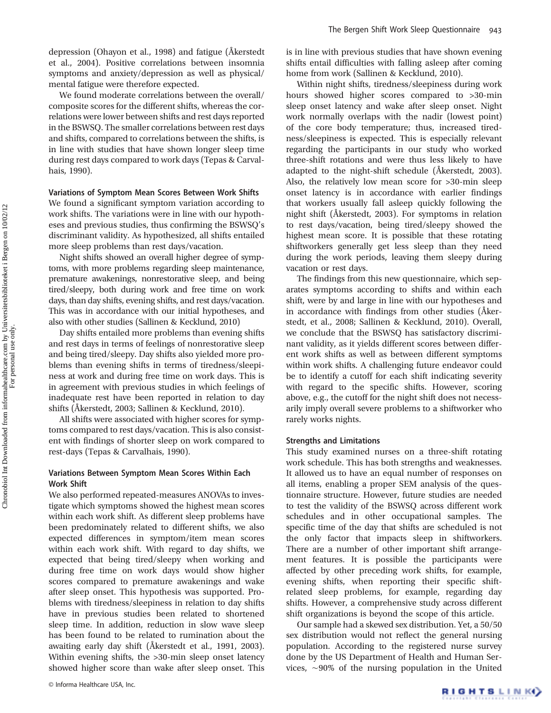We found moderate correlations between the overall/ composite scores for the different shifts, whereas the correlations were lower between shifts and rest days reported in the BSWSQ. The smaller correlations between rest days and shifts, compared to correlations between the shifts, is in line with studies that have shown longer sleep time during rest days compared to work days (Tepas & Carvalhais, 1990).

#### Variations of Symptom Mean Scores Between Work Shifts

We found a significant symptom variation according to work shifts. The variations were in line with our hypotheses and previous studies, thus confirming the BSWSQ's discriminant validity. As hypothesized, all shifts entailed more sleep problems than rest days/vacation.

Night shifts showed an overall higher degree of symptoms, with more problems regarding sleep maintenance, premature awakenings, nonrestorative sleep, and being tired/sleepy, both during work and free time on work days, than day shifts, evening shifts, and rest days/vacation. This was in accordance with our initial hypotheses, and also with other studies (Sallinen & Kecklund, 2010)

Day shifts entailed more problems than evening shifts and rest days in terms of feelings of nonrestorative sleep and being tired/sleepy. Day shifts also yielded more problems than evening shifts in terms of tiredness/sleepiness at work and during free time on work days. This is in agreement with previous studies in which feelings of inadequate rest have been reported in relation to day shifts (Åkerstedt, 2003; Sallinen & Kecklund, 2010).

All shifts were associated with higher scores for symptoms compared to rest days/vacation. This is also consistent with findings of shorter sleep on work compared to rest-days (Tepas & Carvalhais, 1990).

# Variations Between Symptom Mean Scores Within Each Work Shift

We also performed repeated-measures ANOVAs to investigate which symptoms showed the highest mean scores within each work shift. As different sleep problems have been predominately related to different shifts, we also expected differences in symptom/item mean scores within each work shift. With regard to day shifts, we expected that being tired/sleepy when working and during free time on work days would show higher scores compared to premature awakenings and wake after sleep onset. This hypothesis was supported. Problems with tiredness/sleepiness in relation to day shifts have in previous studies been related to shortened sleep time. In addition, reduction in slow wave sleep has been found to be related to rumination about the awaiting early day shift (Åkerstedt et al., 1991, 2003). Within evening shifts, the >30-min sleep onset latency showed higher score than wake after sleep onset. This is in line with previous studies that have shown evening shifts entail difficulties with falling asleep after coming home from work (Sallinen & Kecklund, 2010).

Within night shifts, tiredness/sleepiness during work hours showed higher scores compared to >30-min sleep onset latency and wake after sleep onset. Night work normally overlaps with the nadir (lowest point) of the core body temperature; thus, increased tiredness/sleepiness is expected. This is especially relevant regarding the participants in our study who worked three-shift rotations and were thus less likely to have adapted to the night-shift schedule (Åkerstedt, 2003). Also, the relatively low mean score for >30-min sleep onset latency is in accordance with earlier findings that workers usually fall asleep quickly following the night shift (Åkerstedt, 2003). For symptoms in relation to rest days/vacation, being tired/sleepy showed the highest mean score. It is possible that these rotating shiftworkers generally get less sleep than they need during the work periods, leaving them sleepy during vacation or rest days.

The findings from this new questionnaire, which separates symptoms according to shifts and within each shift, were by and large in line with our hypotheses and in accordance with findings from other studies (Åkerstedt, et al., 2008; Sallinen & Kecklund, 2010). Overall, we conclude that the BSWSQ has satisfactory discriminant validity, as it yields different scores between different work shifts as well as between different symptoms within work shifts. A challenging future endeavor could be to identify a cutoff for each shift indicating severity with regard to the specific shifts. However, scoring above, e.g., the cutoff for the night shift does not necessarily imply overall severe problems to a shiftworker who rarely works nights.

#### Strengths and Limitations

This study examined nurses on a three-shift rotating work schedule. This has both strengths and weaknesses. It allowed us to have an equal number of responses on all items, enabling a proper SEM analysis of the questionnaire structure. However, future studies are needed to test the validity of the BSWSQ across different work schedules and in other occupational samples. The specific time of the day that shifts are scheduled is not the only factor that impacts sleep in shiftworkers. There are a number of other important shift arrangement features. It is possible the participants were affected by other preceding work shifts, for example, evening shifts, when reporting their specific shiftrelated sleep problems, for example, regarding day shifts. However, a comprehensive study across different shift organizations is beyond the scope of this article.

Our sample had a skewed sex distribution. Yet, a 50/50 sex distribution would not reflect the general nursing population. According to the registered nurse survey done by the US Department of Health and Human Services, ∼90% of the nursing population in the United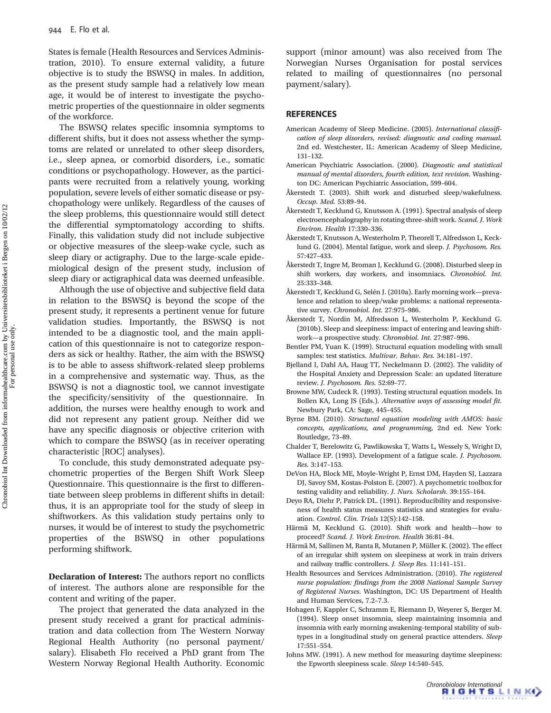States is female (Health Resources and Services Administration, 2010). To ensure external validity, a future objective is to study the BSWSQ in males. In addition, as the present study sample had a relatively low mean age, it would be of interest to investigate the psychometric properties of the questionnaire in older segments of the workforce.

The BSWSQ relates specific insomnia symptoms to different shifts, but it does not assess whether the symptoms are related or unrelated to other sleep disorders, i.e., sleep apnea, or comorbid disorders, i.e., somatic conditions or psychopathology. However, as the participants were recruited from a relatively young, working population, severe levels of either somatic disease or psychopathology were unlikely. Regardless of the causes of the sleep problems, this questionnaire would still detect the differential symptomatology according to shifts. Finally, this validation study did not include subjective or objective measures of the sleep-wake cycle, such as sleep diary or actigraphy. Due to the large-scale epidemiological design of the present study, inclusion of sleep diary or actigraphical data was deemed unfeasible.

Although the use of objective and subjective field data in relation to the BSWSQ is beyond the scope of the present study, it represents a pertinent venue for future validation studies. Importantly, the BSWSQ is not intended to be a diagnostic tool, and the main application of this questionnaire is not to categorize responders as sick or healthy. Rather, the aim with the BSWSQ is to be able to assess shiftwork-related sleep problems in a comprehensive and systematic way. Thus, as the BSWSQ is not a diagnostic tool, we cannot investigate the specificity/sensitivity of the questionnaire. In addition, the nurses were healthy enough to work and did not represent any patient group. Neither did we have any specific diagnosis or objective criterion with which to compare the BSWSQ (as in receiver operating characteristic [ROC] analyses).

To conclude, this study demonstrated adequate psychometric properties of the Bergen Shift Work Sleep Questionnaire. This questionnaire is the first to differentiate between sleep problems in different shifts in detail: thus, it is an appropriate tool for the study of sleep in shiftworkers. As this validation study pertains only to nurses, it would be of interest to study the psychometric properties of the BSWSQ in other populations performing shiftwork.

Declaration of Interest: The authors report no conflicts of interest. The authors alone are responsible for the content and writing of the paper.

The project that generated the data analyzed in the present study received a grant for practical administration and data collection from The Western Norway Regional Health Authority (no personal payment/ salary). Elisabeth Flo received a PhD grant from The Western Norway Regional Health Authority. Economic support (minor amount) was also received from The Norwegian Nurses Organisation for postal services related to mailing of questionnaires (no personal payment/salary).

#### **REFERENCES**

- American Academy of Sleep Medicine. (2005). International classification of sleep disorders, revised: diagnostic and coding manual. 2nd ed. Westchester, IL: American Academy of Sleep Medicine, 131–132.
- American Psychiatric Association. (2000). Diagnostic and statistical manual of mental disorders, fourth edition, text revision. Washington DC: American Psychiatric Association, 599–604.
- Åkerstedt T. (2003). Shift work and disturbed sleep/wakefulness. Occup. Med. 53:89–94.
- Åkerstedt T, Kecklund G, Knutsson A. (1991). Spectral analysis of sleep electroencephalography in rotating three-shift work. Scand. J. Work Environ. Health 17:330–336.
- Åkerstedt T, Knutsson A, Westerholm P, Theorell T, Alfredsson L, Kecklund G. (2004). Mental fatigue, work and sleep. J. Psychosom. Res. 57:427–433.
- Åkerstedt T, Ingre M, Broman J, Kecklund G. (2008). Disturbed sleep in shift workers, day workers, and insomniacs. Chronobiol. Int. 25:333–348.
- Åkerstedt T, Kecklund G, Selén J. (2010a). Early morning work—prevalence and relation to sleep/wake problems: a national representative survey. Chronobiol. Int. 27:975–986.
- Åkerstedt T, Nordin M, Alfredsson L, Westerholm P, Kecklund G. (2010b). Sleep and sleepiness: impact of entering and leaving shiftwork—a prospective study. Chronobiol. Int. 27:987–996.
- Bentler PM, Yuan K. (1999). Structural equation modeling with small samples: test statistics. Multivar. Behav. Res. 34:181–197.
- Bjelland I, Dahl AA, Haug TT, Neckelmann D. (2002). The validity of the Hospital Anxiety and Depression Scale: an updated literature review. J. Psychosom. Res. 52:69–77.
- Browne MW, Cudeck R. (1993). Testing structural equation models. In Bollen KA, Long JS (Eds.). Alternative ways of assessing model fit. Newbury Park, CA: Sage, 445–455.
- Byrne BM. (2010). Structural equation modeling with AMOS: basic concepts, applications, and programming, 2nd ed. New York: Routledge, 73–89.
- Chalder T, Berelowitz G, Pawlikowska T, Watts L, Wessely S, Wright D, Wallace EP. (1993). Development of a fatigue scale. J. Psychosom. Res. 3:147–153.
- DeVon HA, Block ME, Moyle-Wright P, Ernst DM, Hayden SJ, Lazzara DJ, Savoy SM, Kostas-Polston E. (2007). A psychometric toolbox for testing validity and reliability. J. Nurs. Scholarsh. 39:155–164.
- Deyo RA, Diehr P, Patrick DL. (1991). Reproducibility and responsiveness of health status measures statistics and strategies for evaluation. Control. Clin. Trials 12(S):142–158.
- Härmä M, Kecklund G. (2010). Shift work and health—how to proceed? Scand. J. Work Environ. Health 36:81–84.
- Härmä M, Sallinen M, Ranta R, Mutanen P, Müller K. (2002). The effect of an irregular shift system on sleepiness at work in train drivers and railway traffic controllers. J. Sleep Res. 11:141–151.
- Health Resources and Services Administration. (2010). The registered nurse population: findings from the 2008 National Sample Survey of Registered Nurses. Washington, DC: US Department of Health and Human Services, 7.2–7.3.
- Hohagen F, Kappler C, Schramm E, Riemann D, Weyerer S, Berger M. (1994). Sleep onset insomnia, sleep maintaining insomnia and insomnia with early morning awakening-temporal stability of subtypes in a longitudinal study on general practice attenders. Sleep 17:551–554.
- Johns MW. (1991). A new method for measuring daytime sleepiness: the Epworth sleepiness scale. Sleep 14:540–545.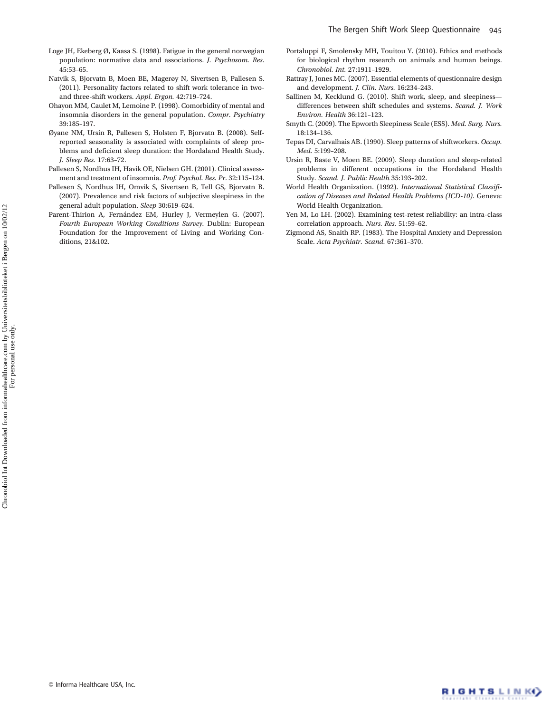- Loge JH, Ekeberg Ø, Kaasa S. (1998). Fatigue in the general norwegian population: normative data and associations. J. Psychosom. Res. 45:53–65.
- Natvik S, Bjorvatn B, Moen BE, Magerøy N, Sivertsen B, Pallesen S. (2011). Personality factors related to shift work tolerance in twoand three-shift workers. Appl. Ergon. 42:719–724.
- Ohayon MM, Caulet M, Lemoine P. (1998). Comorbidity of mental and insomnia disorders in the general population. Compr. Psychiatry 39:185–197.
- Øyane NM, Ursin R, Pallesen S, Holsten F, Bjorvatn B. (2008). Selfreported seasonality is associated with complaints of sleep problems and deficient sleep duration: the Hordaland Health Study. J. Sleep Res. 17:63–72.
- Pallesen S, Nordhus IH, Havik OE, Nielsen GH. (2001). Clinical assessment and treatment of insomnia. Prof. Psychol. Res. Pr. 32:115–124.
- Pallesen S, Nordhus IH, Omvik S, Sivertsen B, Tell GS, Bjorvatn B. (2007). Prevalence and risk factors of subjective sleepiness in the general adult population. Sleep 30:619–624.
- Parent-Thirion A, Fernández EM, Hurley J, Vermeylen G. (2007). Fourth European Working Conditions Survey. Dublin: European Foundation for the Improvement of Living and Working Conditions, 21&102.
- Portaluppi F, Smolensky MH, Touitou Y. (2010). Ethics and methods for biological rhythm research on animals and human beings. Chronobiol. Int. 27:1911–1929.
- Rattray J, Jones MC. (2007). Essential elements of questionnaire design and development. J. Clin. Nurs. 16:234–243.
- Sallinen M, Kecklund G. (2010). Shift work, sleep, and sleepiness differences between shift schedules and systems. Scand. J. Work Environ. Health 36:121–123.
- Smyth C. (2009). The Epworth Sleepiness Scale (ESS). Med. Surg. Nurs. 18:134–136.
- Tepas DI, Carvalhais AB. (1990). Sleep patterns of shiftworkers. Occup. Med. 5:199–208.
- Ursin R, Baste V, Moen BE. (2009). Sleep duration and sleep-related problems in different occupations in the Hordaland Health Study. Scand. J. Public Health 35:193–202.
- World Health Organization. (1992). International Statistical Classification of Diseases and Related Health Problems (ICD-10). Geneva: World Health Organization.
- Yen M, Lo LH. (2002). Examining test-retest reliability: an intra-class correlation approach. Nurs. Res. 51:59–62.
- Zigmond AS, Snaith RP. (1983). The Hospital Anxiety and Depression Scale. Acta Psychiatr. Scand. 67:361–370.